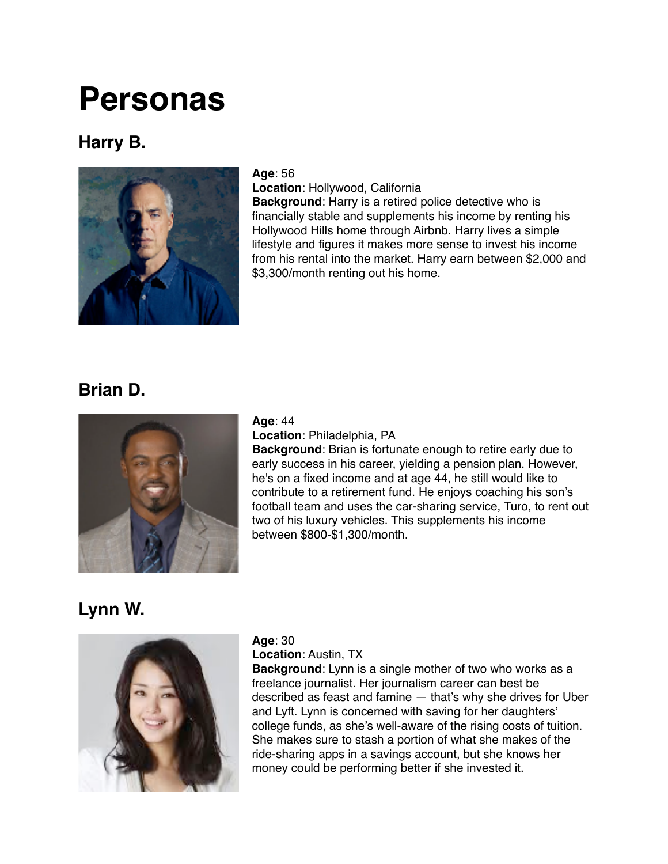# **Personas**

### **Harry B.**



#### **Age**: 56

**Location**: Hollywood, California

**Background**: Harry is a retired police detective who is financially stable and supplements his income by renting his Hollywood Hills home through Airbnb. Harry lives a simple lifestyle and figures it makes more sense to invest his income from his rental into the market. Harry earn between \$2,000 and \$3,300/month renting out his home.

## **Brian D.**



#### **Age**: 44

**Location**: Philadelphia, PA

**Background**: Brian is fortunate enough to retire early due to early success in his career, yielding a pension plan. However, he's on a fixed income and at age 44, he still would like to contribute to a retirement fund. He enjoys coaching his son's football team and uses the car-sharing service, Turo, to rent out two of his luxury vehicles. This supplements his income between \$800-\$1,300/month.

## **Lynn W.**



#### **Age**: 30

#### **Location**: Austin, TX

**Background**: Lynn is a single mother of two who works as a freelance journalist. Her journalism career can best be described as feast and famine — that's why she drives for Uber and Lyft. Lynn is concerned with saving for her daughters' college funds, as she's well-aware of the rising costs of tuition. She makes sure to stash a portion of what she makes of the ride-sharing apps in a savings account, but she knows her money could be performing better if she invested it.